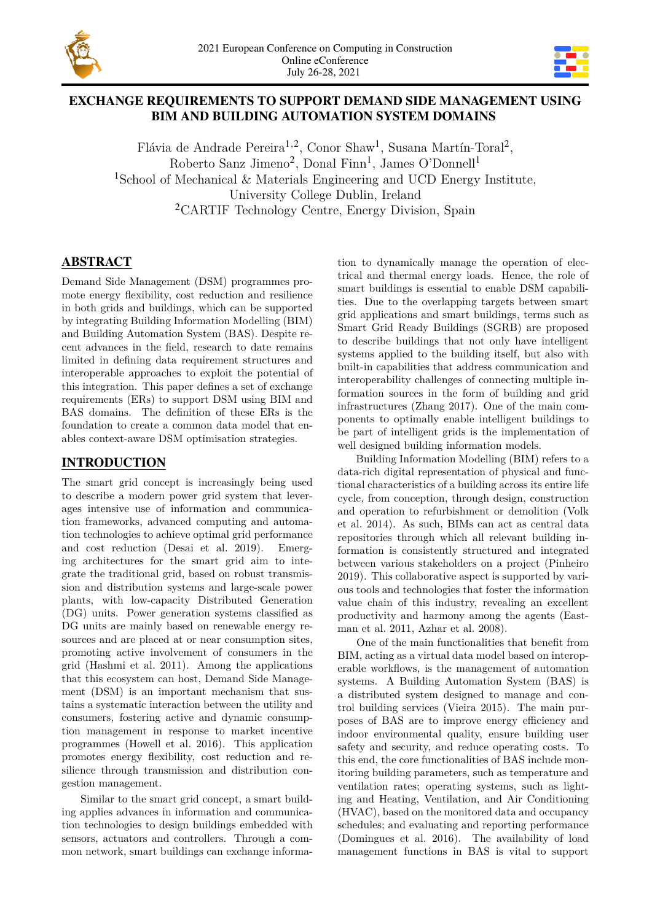

# **EXCHANGE REQUIREMENTS TO SUPPORT DEMAND SIDE MANAGEMENT USING BIM AND BUILDING AUTOMATION SYSTEM DOMAINS**

Flávia de Andrade Pereira<sup>1,2</sup>, Conor Shaw<sup>1</sup>, Susana Martín-Toral<sup>2</sup>, Roberto Sanz Jimeno<sup>2</sup>, Donal Finn<sup>1</sup>, James O'Donnell<sup>1</sup> <sup>1</sup>School of Mechanical & Materials Engineering and UCD Energy Institute, University College Dublin, Ireland <sup>2</sup>CARTIF Technology Centre, Energy Division, Spain

# **ABSTRACT**

Demand Side Management (DSM) programmes promote energy flexibility, cost reduction and resilience in both grids and buildings, which can be supported by integrating Building Information Modelling (BIM) and Building Automation System (BAS). Despite recent advances in the field, research to date remains limited in defining data requirement structures and interoperable approaches to exploit the potential of this integration. This paper defines a set of exchange requirements (ERs) to support DSM using BIM and BAS domains. The definition of these ERs is the foundation to create a common data model that enables context-aware DSM optimisation strategies.

# **INTRODUCTION**

The smart grid concept is increasingly being used to describe a modern power grid system that leverages intensive use of information and communication frameworks, advanced computing and automation technologies to achieve optimal grid performance and cost reduction (Desai et al. 2019). Emerging architectures for the smart grid aim to integrate the traditional grid, based on robust transmission and distribution systems and large-scale power plants, with low-capacity Distributed Generation (DG) units. Power generation systems classified as DG units are mainly based on renewable energy resources and are placed at or near consumption sites, promoting active involvement of consumers in the grid (Hashmi et al. 2011). Among the applications that this ecosystem can host, Demand Side Management (DSM) is an important mechanism that sustains a systematic interaction between the utility and consumers, fostering active and dynamic consumption management in response to market incentive programmes (Howell et al. 2016). This application promotes energy flexibility, cost reduction and resilience through transmission and distribution congestion management.

Similar to the smart grid concept, a smart building applies advances in information and communication technologies to design buildings embedded with sensors, actuators and controllers. Through a common network, smart buildings can exchange information to dynamically manage the operation of electrical and thermal energy loads. Hence, the role of smart buildings is essential to enable DSM capabilities. Due to the overlapping targets between smart grid applications and smart buildings, terms such as Smart Grid Ready Buildings (SGRB) are proposed to describe buildings that not only have intelligent systems applied to the building itself, but also with built-in capabilities that address communication and interoperability challenges of connecting multiple information sources in the form of building and grid infrastructures (Zhang 2017). One of the main components to optimally enable intelligent buildings to be part of intelligent grids is the implementation of well designed building information models.

Building Information Modelling (BIM) refers to a data-rich digital representation of physical and functional characteristics of a building across its entire life cycle, from conception, through design, construction and operation to refurbishment or demolition (Volk et al. 2014). As such, BIMs can act as central data repositories through which all relevant building information is consistently structured and integrated between various stakeholders on a project (Pinheiro 2019). This collaborative aspect is supported by various tools and technologies that foster the information value chain of this industry, revealing an excellent productivity and harmony among the agents (Eastman et al. 2011, Azhar et al. 2008).

One of the main functionalities that benefit from BIM, acting as a virtual data model based on interoperable workflows, is the management of automation systems. A Building Automation System (BAS) is a distributed system designed to manage and control building services (Vieira 2015). The main purposes of BAS are to improve energy efficiency and indoor environmental quality, ensure building user safety and security, and reduce operating costs. To this end, the core functionalities of BAS include monitoring building parameters, such as temperature and ventilation rates; operating systems, such as lighting and Heating, Ventilation, and Air Conditioning (HVAC), based on the monitored data and occupancy schedules; and evaluating and reporting performance (Domingues et al. 2016). The availability of load management functions in BAS is vital to support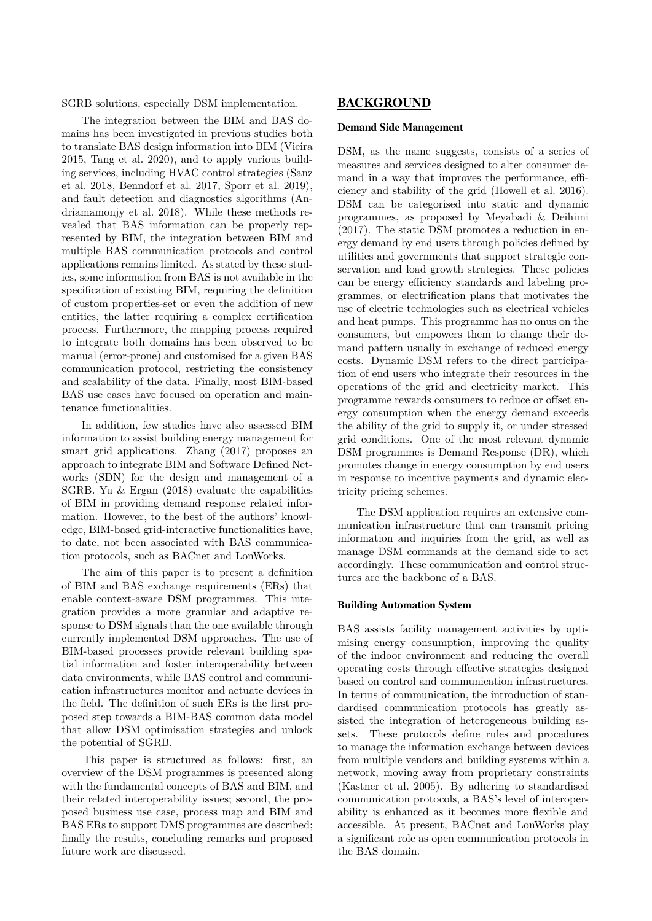SGRB solutions, especially DSM implementation.

The integration between the BIM and BAS domains has been investigated in previous studies both to translate BAS design information into BIM (Vieira 2015, Tang et al. 2020), and to apply various building services, including HVAC control strategies (Sanz et al. 2018, Benndorf et al. 2017, Sporr et al. 2019), and fault detection and diagnostics algorithms (Andriamamonjy et al. 2018). While these methods revealed that BAS information can be properly represented by BIM, the integration between BIM and multiple BAS communication protocols and control applications remains limited. As stated by these studies, some information from BAS is not available in the specification of existing BIM, requiring the definition of custom properties-set or even the addition of new entities, the latter requiring a complex certification process. Furthermore, the mapping process required to integrate both domains has been observed to be manual (error-prone) and customised for a given BAS communication protocol, restricting the consistency and scalability of the data. Finally, most BIM-based BAS use cases have focused on operation and maintenance functionalities.

In addition, few studies have also assessed BIM information to assist building energy management for smart grid applications. Zhang (2017) proposes an approach to integrate BIM and Software Defined Networks (SDN) for the design and management of a SGRB. Yu & Ergan (2018) evaluate the capabilities of BIM in providing demand response related information. However, to the best of the authors' knowledge, BIM-based grid-interactive functionalities have, to date, not been associated with BAS communication protocols, such as BACnet and LonWorks.

The aim of this paper is to present a definition of BIM and BAS exchange requirements (ERs) that enable context-aware DSM programmes. This integration provides a more granular and adaptive response to DSM signals than the one available through currently implemented DSM approaches. The use of BIM-based processes provide relevant building spatial information and foster interoperability between data environments, while BAS control and communication infrastructures monitor and actuate devices in the field. The definition of such ERs is the first proposed step towards a BIM-BAS common data model that allow DSM optimisation strategies and unlock the potential of SGRB.

This paper is structured as follows: first, an overview of the DSM programmes is presented along with the fundamental concepts of BAS and BIM, and their related interoperability issues; second, the proposed business use case, process map and BIM and BAS ERs to support DMS programmes are described; finally the results, concluding remarks and proposed future work are discussed.

## **BACKGROUND**

#### **Demand Side Management**

DSM, as the name suggests, consists of a series of measures and services designed to alter consumer demand in a way that improves the performance, efficiency and stability of the grid (Howell et al. 2016). DSM can be categorised into static and dynamic programmes, as proposed by Meyabadi & Deihimi (2017). The static DSM promotes a reduction in energy demand by end users through policies defined by utilities and governments that support strategic conservation and load growth strategies. These policies can be energy efficiency standards and labeling programmes, or electrification plans that motivates the use of electric technologies such as electrical vehicles and heat pumps. This programme has no onus on the consumers, but empowers them to change their demand pattern usually in exchange of reduced energy costs. Dynamic DSM refers to the direct participation of end users who integrate their resources in the operations of the grid and electricity market. This programme rewards consumers to reduce or offset energy consumption when the energy demand exceeds the ability of the grid to supply it, or under stressed grid conditions. One of the most relevant dynamic DSM programmes is Demand Response (DR), which promotes change in energy consumption by end users in response to incentive payments and dynamic electricity pricing schemes.

The DSM application requires an extensive communication infrastructure that can transmit pricing information and inquiries from the grid, as well as manage DSM commands at the demand side to act accordingly. These communication and control structures are the backbone of a BAS.

#### **Building Automation System**

BAS assists facility management activities by optimising energy consumption, improving the quality of the indoor environment and reducing the overall operating costs through effective strategies designed based on control and communication infrastructures. In terms of communication, the introduction of standardised communication protocols has greatly assisted the integration of heterogeneous building assets. These protocols define rules and procedures to manage the information exchange between devices from multiple vendors and building systems within a network, moving away from proprietary constraints (Kastner et al. 2005). By adhering to standardised communication protocols, a BAS's level of interoperability is enhanced as it becomes more flexible and accessible. At present, BACnet and LonWorks play a significant role as open communication protocols in the BAS domain.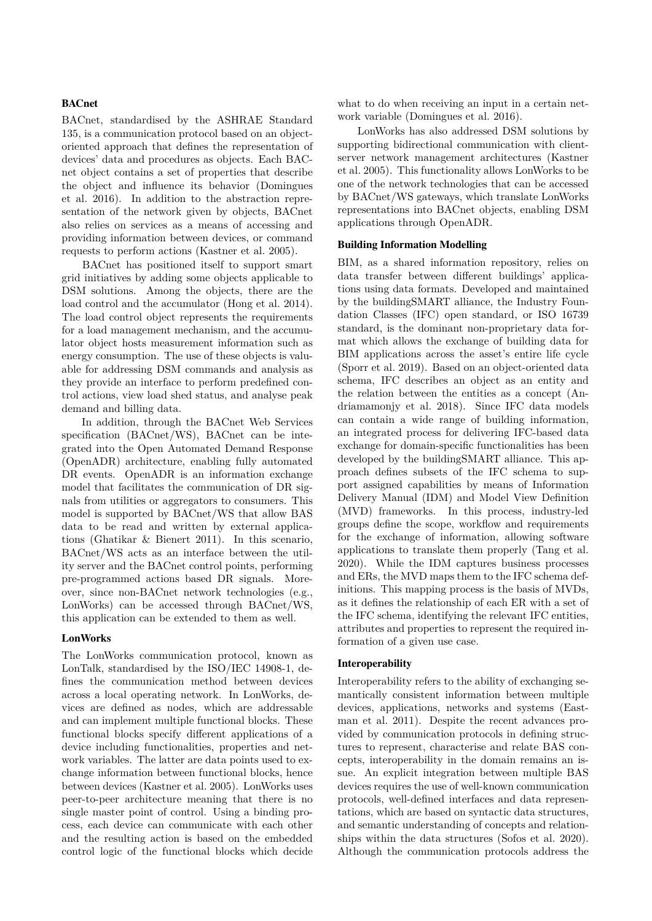#### **BACnet**

BACnet, standardised by the ASHRAE Standard 135, is a communication protocol based on an objectoriented approach that defines the representation of devices' data and procedures as objects. Each BACnet object contains a set of properties that describe the object and influence its behavior (Domingues et al. 2016). In addition to the abstraction representation of the network given by objects, BACnet also relies on services as a means of accessing and providing information between devices, or command requests to perform actions (Kastner et al. 2005).

BACnet has positioned itself to support smart grid initiatives by adding some objects applicable to DSM solutions. Among the objects, there are the load control and the accumulator (Hong et al. 2014). The load control object represents the requirements for a load management mechanism, and the accumulator object hosts measurement information such as energy consumption. The use of these objects is valuable for addressing DSM commands and analysis as they provide an interface to perform predefined control actions, view load shed status, and analyse peak demand and billing data.

In addition, through the BACnet Web Services specification (BACnet/WS), BACnet can be integrated into the Open Automated Demand Response (OpenADR) architecture, enabling fully automated DR events. OpenADR is an information exchange model that facilitates the communication of DR signals from utilities or aggregators to consumers. This model is supported by BACnet/WS that allow BAS data to be read and written by external applications (Ghatikar & Bienert 2011). In this scenario, BACnet/WS acts as an interface between the utility server and the BACnet control points, performing pre-programmed actions based DR signals. Moreover, since non-BACnet network technologies (e.g., LonWorks) can be accessed through BACnet/WS, this application can be extended to them as well.

#### **LonWorks**

The LonWorks communication protocol, known as LonTalk, standardised by the ISO/IEC 14908-1, defines the communication method between devices across a local operating network. In LonWorks, devices are defined as nodes, which are addressable and can implement multiple functional blocks. These functional blocks specify different applications of a device including functionalities, properties and network variables. The latter are data points used to exchange information between functional blocks, hence between devices (Kastner et al. 2005). LonWorks uses peer-to-peer architecture meaning that there is no single master point of control. Using a binding process, each device can communicate with each other and the resulting action is based on the embedded control logic of the functional blocks which decide what to do when receiving an input in a certain network variable (Domingues et al. 2016).

LonWorks has also addressed DSM solutions by supporting bidirectional communication with clientserver network management architectures (Kastner et al. 2005). This functionality allows LonWorks to be one of the network technologies that can be accessed by BACnet/WS gateways, which translate LonWorks representations into BACnet objects, enabling DSM applications through OpenADR.

#### **Building Information Modelling**

BIM, as a shared information repository, relies on data transfer between different buildings' applications using data formats. Developed and maintained by the buildingSMART alliance, the Industry Foundation Classes (IFC) open standard, or ISO 16739 standard, is the dominant non-proprietary data format which allows the exchange of building data for BIM applications across the asset's entire life cycle (Sporr et al. 2019). Based on an object-oriented data schema, IFC describes an object as an entity and the relation between the entities as a concept (Andriamamonjy et al. 2018). Since IFC data models can contain a wide range of building information, an integrated process for delivering IFC-based data exchange for domain-specific functionalities has been developed by the buildingSMART alliance. This approach defines subsets of the IFC schema to support assigned capabilities by means of Information Delivery Manual (IDM) and Model View Definition (MVD) frameworks. In this process, industry-led groups define the scope, workflow and requirements for the exchange of information, allowing software applications to translate them properly (Tang et al. 2020). While the IDM captures business processes and ERs, the MVD maps them to the IFC schema definitions. This mapping process is the basis of MVDs, as it defines the relationship of each ER with a set of the IFC schema, identifying the relevant IFC entities, attributes and properties to represent the required information of a given use case.

#### **Interoperability**

Interoperability refers to the ability of exchanging semantically consistent information between multiple devices, applications, networks and systems (Eastman et al. 2011). Despite the recent advances provided by communication protocols in defining structures to represent, characterise and relate BAS concepts, interoperability in the domain remains an issue. An explicit integration between multiple BAS devices requires the use of well-known communication protocols, well-defined interfaces and data representations, which are based on syntactic data structures, and semantic understanding of concepts and relationships within the data structures (Sofos et al. 2020). Although the communication protocols address the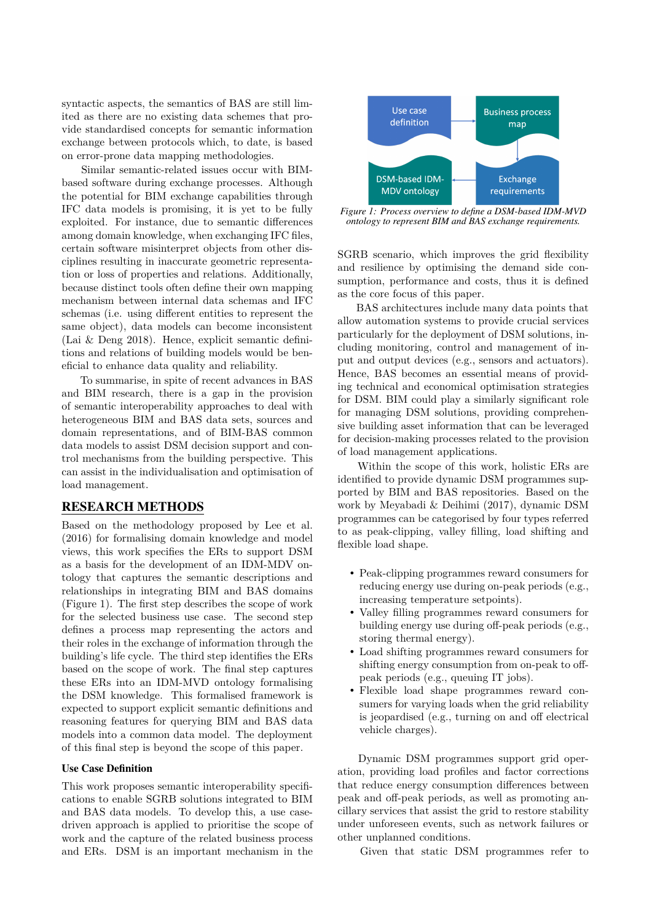syntactic aspects, the semantics of BAS are still limited as there are no existing data schemes that provide standardised concepts for semantic information exchange between protocols which, to date, is based on error-prone data mapping methodologies.

Similar semantic-related issues occur with BIMbased software during exchange processes. Although the potential for BIM exchange capabilities through IFC data models is promising, it is yet to be fully exploited. For instance, due to semantic differences among domain knowledge, when exchanging IFC files, certain software misinterpret objects from other disciplines resulting in inaccurate geometric representation or loss of properties and relations. Additionally, because distinct tools often define their own mapping mechanism between internal data schemas and IFC schemas (i.e. using different entities to represent the same object), data models can become inconsistent (Lai & Deng 2018). Hence, explicit semantic definitions and relations of building models would be beneficial to enhance data quality and reliability.

To summarise, in spite of recent advances in BAS and BIM research, there is a gap in the provision of semantic interoperability approaches to deal with heterogeneous BIM and BAS data sets, sources and domain representations, and of BIM-BAS common data models to assist DSM decision support and control mechanisms from the building perspective. This can assist in the individualisation and optimisation of load management.

### **RESEARCH METHODS**

Based on the methodology proposed by Lee et al. (2016) for formalising domain knowledge and model views, this work specifies the ERs to support DSM as a basis for the development of an IDM-MDV ontology that captures the semantic descriptions and relationships in integrating BIM and BAS domains (Figure 1). The first step describes the scope of work for the selected business use case. The second step defines a process map representing the actors and their roles in the exchange of information through the building's life cycle. The third step identifies the ERs based on the scope of work. The final step captures these ERs into an IDM-MVD ontology formalising the DSM knowledge. This formalised framework is expected to support explicit semantic definitions and reasoning features for querying BIM and BAS data models into a common data model. The deployment of this final step is beyond the scope of this paper.

### **Use Case Definition**

This work proposes semantic interoperability specifications to enable SGRB solutions integrated to BIM and BAS data models. To develop this, a use casedriven approach is applied to prioritise the scope of work and the capture of the related business process and ERs. DSM is an important mechanism in the



*Figure 1: Process overview to define a DSM-based IDM-MVD ontology to represent BIM and BAS exchange requirements.*

SGRB scenario, which improves the grid flexibility and resilience by optimising the demand side consumption, performance and costs, thus it is defined as the core focus of this paper.

BAS architectures include many data points that allow automation systems to provide crucial services particularly for the deployment of DSM solutions, including monitoring, control and management of input and output devices (e.g., sensors and actuators). Hence, BAS becomes an essential means of providing technical and economical optimisation strategies for DSM. BIM could play a similarly significant role for managing DSM solutions, providing comprehensive building asset information that can be leveraged for decision-making processes related to the provision of load management applications.

Within the scope of this work, holistic ERs are identified to provide dynamic DSM programmes supported by BIM and BAS repositories. Based on the work by Meyabadi & Deihimi (2017), dynamic DSM programmes can be categorised by four types referred to as peak-clipping, valley filling, load shifting and flexible load shape.

- Peak-clipping programmes reward consumers for reducing energy use during on-peak periods (e.g., increasing temperature setpoints).
- Valley filling programmes reward consumers for building energy use during off-peak periods (e.g., storing thermal energy).
- Load shifting programmes reward consumers for shifting energy consumption from on-peak to offpeak periods (e.g., queuing IT jobs).
- Flexible load shape programmes reward consumers for varying loads when the grid reliability is jeopardised (e.g., turning on and off electrical vehicle charges).

Dynamic DSM programmes support grid operation, providing load profiles and factor corrections that reduce energy consumption differences between peak and off-peak periods, as well as promoting ancillary services that assist the grid to restore stability under unforeseen events, such as network failures or other unplanned conditions.

Given that static DSM programmes refer to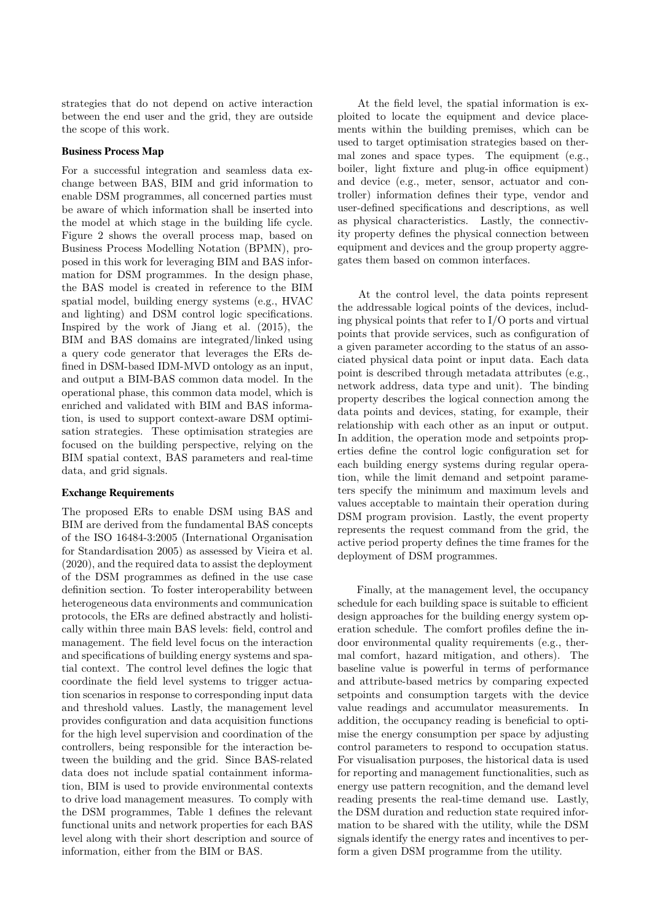strategies that do not depend on active interaction between the end user and the grid, they are outside the scope of this work.

#### **Business Process Map**

For a successful integration and seamless data exchange between BAS, BIM and grid information to enable DSM programmes, all concerned parties must be aware of which information shall be inserted into the model at which stage in the building life cycle. Figure 2 shows the overall process map, based on Business Process Modelling Notation (BPMN), proposed in this work for leveraging BIM and BAS information for DSM programmes. In the design phase, the BAS model is created in reference to the BIM spatial model, building energy systems (e.g., HVAC and lighting) and DSM control logic specifications. Inspired by the work of Jiang et al. (2015), the BIM and BAS domains are integrated/linked using a query code generator that leverages the ERs defined in DSM-based IDM-MVD ontology as an input, and output a BIM-BAS common data model. In the operational phase, this common data model, which is enriched and validated with BIM and BAS information, is used to support context-aware DSM optimisation strategies. These optimisation strategies are focused on the building perspective, relying on the BIM spatial context, BAS parameters and real-time data, and grid signals.

#### **Exchange Requirements**

The proposed ERs to enable DSM using BAS and BIM are derived from the fundamental BAS concepts of the ISO 16484-3:2005 (International Organisation for Standardisation 2005) as assessed by Vieira et al. (2020), and the required data to assist the deployment of the DSM programmes as defined in the use case definition section. To foster interoperability between heterogeneous data environments and communication protocols, the ERs are defined abstractly and holistically within three main BAS levels: field, control and management. The field level focus on the interaction and specifications of building energy systems and spatial context. The control level defines the logic that coordinate the field level systems to trigger actuation scenarios in response to corresponding input data and threshold values. Lastly, the management level provides configuration and data acquisition functions for the high level supervision and coordination of the controllers, being responsible for the interaction between the building and the grid. Since BAS-related data does not include spatial containment information, BIM is used to provide environmental contexts to drive load management measures. To comply with the DSM programmes, Table 1 defines the relevant functional units and network properties for each BAS level along with their short description and source of information, either from the BIM or BAS.

At the field level, the spatial information is exploited to locate the equipment and device placements within the building premises, which can be used to target optimisation strategies based on thermal zones and space types. The equipment (e.g., boiler, light fixture and plug-in office equipment) and device (e.g., meter, sensor, actuator and controller) information defines their type, vendor and user-defined specifications and descriptions, as well as physical characteristics. Lastly, the connectivity property defines the physical connection between equipment and devices and the group property aggregates them based on common interfaces.

At the control level, the data points represent the addressable logical points of the devices, including physical points that refer to I/O ports and virtual points that provide services, such as configuration of a given parameter according to the status of an associated physical data point or input data. Each data point is described through metadata attributes (e.g., network address, data type and unit). The binding property describes the logical connection among the data points and devices, stating, for example, their relationship with each other as an input or output. In addition, the operation mode and setpoints properties define the control logic configuration set for each building energy systems during regular operation, while the limit demand and setpoint parameters specify the minimum and maximum levels and values acceptable to maintain their operation during DSM program provision. Lastly, the event property represents the request command from the grid, the active period property defines the time frames for the deployment of DSM programmes.

Finally, at the management level, the occupancy schedule for each building space is suitable to efficient design approaches for the building energy system operation schedule. The comfort profiles define the indoor environmental quality requirements (e.g., thermal comfort, hazard mitigation, and others). The baseline value is powerful in terms of performance and attribute-based metrics by comparing expected setpoints and consumption targets with the device value readings and accumulator measurements. In addition, the occupancy reading is beneficial to optimise the energy consumption per space by adjusting control parameters to respond to occupation status. For visualisation purposes, the historical data is used for reporting and management functionalities, such as energy use pattern recognition, and the demand level reading presents the real-time demand use. Lastly, the DSM duration and reduction state required information to be shared with the utility, while the DSM signals identify the energy rates and incentives to perform a given DSM programme from the utility.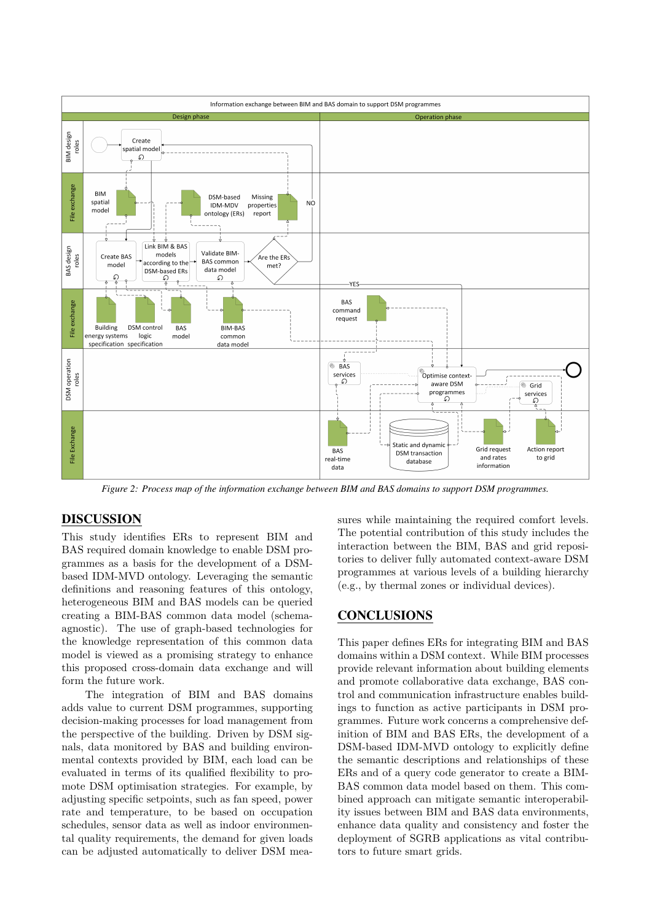

*Figure 2: Process map of the information exchange between BIM and BAS domains to support DSM programmes.*

## **DISCUSSION**

This study identifies ERs to represent BIM and BAS required domain knowledge to enable DSM programmes as a basis for the development of a DSMbased IDM-MVD ontology. Leveraging the semantic definitions and reasoning features of this ontology, heterogeneous BIM and BAS models can be queried creating a BIM-BAS common data model (schemaagnostic). The use of graph-based technologies for the knowledge representation of this common data model is viewed as a promising strategy to enhance this proposed cross-domain data exchange and will form the future work.

The integration of BIM and BAS domains adds value to current DSM programmes, supporting decision-making processes for load management from the perspective of the building. Driven by DSM signals, data monitored by BAS and building environmental contexts provided by BIM, each load can be evaluated in terms of its qualified flexibility to promote DSM optimisation strategies. For example, by adjusting specific setpoints, such as fan speed, power rate and temperature, to be based on occupation schedules, sensor data as well as indoor environmental quality requirements, the demand for given loads can be adjusted automatically to deliver DSM measures while maintaining the required comfort levels. The potential contribution of this study includes the interaction between the BIM, BAS and grid repositories to deliver fully automated context-aware DSM programmes at various levels of a building hierarchy (e.g., by thermal zones or individual devices).

### **CONCLUSIONS**

This paper defines ERs for integrating BIM and BAS domains within a DSM context. While BIM processes provide relevant information about building elements and promote collaborative data exchange, BAS control and communication infrastructure enables buildings to function as active participants in DSM programmes. Future work concerns a comprehensive definition of BIM and BAS ERs, the development of a DSM-based IDM-MVD ontology to explicitly define the semantic descriptions and relationships of these ERs and of a query code generator to create a BIM-BAS common data model based on them. This combined approach can mitigate semantic interoperability issues between BIM and BAS data environments, enhance data quality and consistency and foster the deployment of SGRB applications as vital contributors to future smart grids.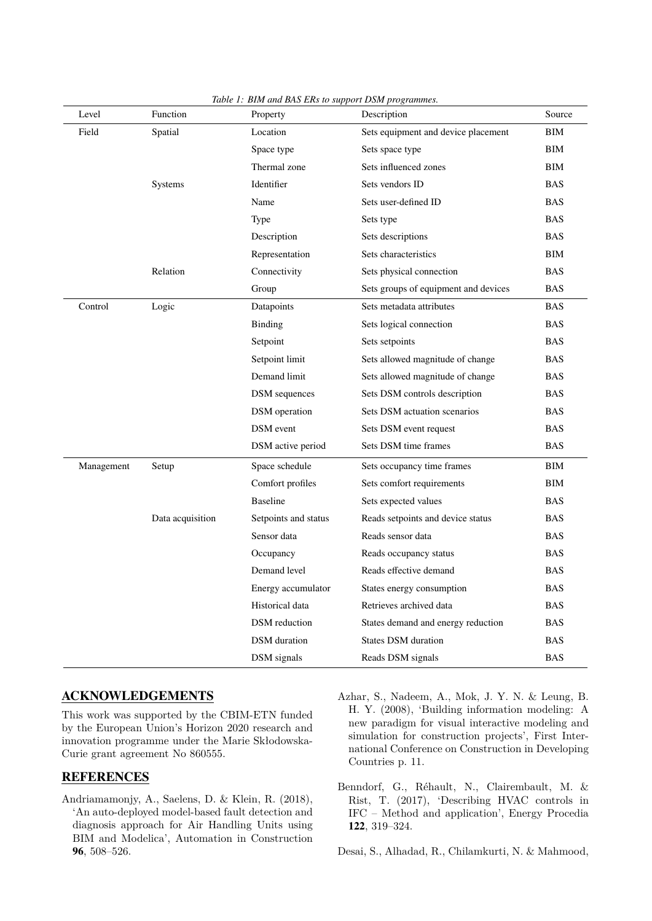| Level      | Function         | Property             | Description                          | Source     |
|------------|------------------|----------------------|--------------------------------------|------------|
| Field      | Spatial          | Location             | Sets equipment and device placement  | BIM        |
|            |                  | Space type           | Sets space type                      | <b>BIM</b> |
|            |                  | Thermal zone         | Sets influenced zones                | BIM        |
|            | Systems          | Identifier           | Sets vendors ID                      | <b>BAS</b> |
|            |                  | Name                 | Sets user-defined ID                 | <b>BAS</b> |
|            |                  | Type                 | Sets type                            | <b>BAS</b> |
|            |                  | Description          | Sets descriptions                    | <b>BAS</b> |
|            |                  | Representation       | Sets characteristics                 | BIM        |
|            | Relation         | Connectivity         | Sets physical connection             | <b>BAS</b> |
|            |                  | Group                | Sets groups of equipment and devices | <b>BAS</b> |
| Control    | Logic            | Datapoints           | Sets metadata attributes             | <b>BAS</b> |
|            |                  | Binding              | Sets logical connection              | <b>BAS</b> |
|            |                  | Setpoint             | Sets setpoints                       | <b>BAS</b> |
|            |                  | Setpoint limit       | Sets allowed magnitude of change     | <b>BAS</b> |
|            |                  | Demand limit         | Sets allowed magnitude of change     | <b>BAS</b> |
|            |                  | <b>DSM</b> sequences | Sets DSM controls description        | <b>BAS</b> |
|            |                  | DSM operation        | Sets DSM actuation scenarios         | <b>BAS</b> |
|            |                  | <b>DSM</b> event     | Sets DSM event request               | <b>BAS</b> |
|            |                  | DSM active period    | Sets DSM time frames                 | <b>BAS</b> |
| Management | Setup            | Space schedule       | Sets occupancy time frames           | BIM        |
|            |                  | Comfort profiles     | Sets comfort requirements            | BIM        |
|            |                  | <b>Baseline</b>      | Sets expected values                 | <b>BAS</b> |
|            | Data acquisition | Setpoints and status | Reads setpoints and device status    | <b>BAS</b> |
|            |                  | Sensor data          | Reads sensor data                    | <b>BAS</b> |
|            |                  | Occupancy            | Reads occupancy status               | <b>BAS</b> |
|            |                  | Demand level         | Reads effective demand               | <b>BAS</b> |
|            |                  | Energy accumulator   | States energy consumption            | <b>BAS</b> |
|            |                  | Historical data      | Retrieves archived data              | <b>BAS</b> |
|            |                  | <b>DSM</b> reduction | States demand and energy reduction   | <b>BAS</b> |
|            |                  | <b>DSM</b> duration  | <b>States DSM</b> duration           | <b>BAS</b> |
|            |                  | DSM signals          | Reads DSM signals                    | <b>BAS</b> |

*Table 1: BIM and BAS ERs to support DSM programmes.*

## **ACKNOWLEDGEMENTS**

This work was supported by the CBIM-ETN funded by the European Union's Horizon 2020 research and innovation programme under the Marie Skłodowska-Curie grant agreement No 860555.

## **REFERENCES**

- Andriamamonjy, A., Saelens, D. & Klein, R. (2018), 'An auto-deployed model-based fault detection and diagnosis approach for Air Handling Units using BIM and Modelica', Automation in Construction **96**, 508–526.
- Azhar, S., Nadeem, A., Mok, J. Y. N. & Leung, B. H. Y. (2008), 'Building information modeling: A new paradigm for visual interactive modeling and simulation for construction projects', First International Conference on Construction in Developing Countries p. 11.
- Benndorf, G., Réhault, N., Clairembault, M. & Rist, T. (2017), 'Describing HVAC controls in IFC – Method and application', Energy Procedia **122**, 319–324.

Desai, S., Alhadad, R., Chilamkurti, N. & Mahmood,